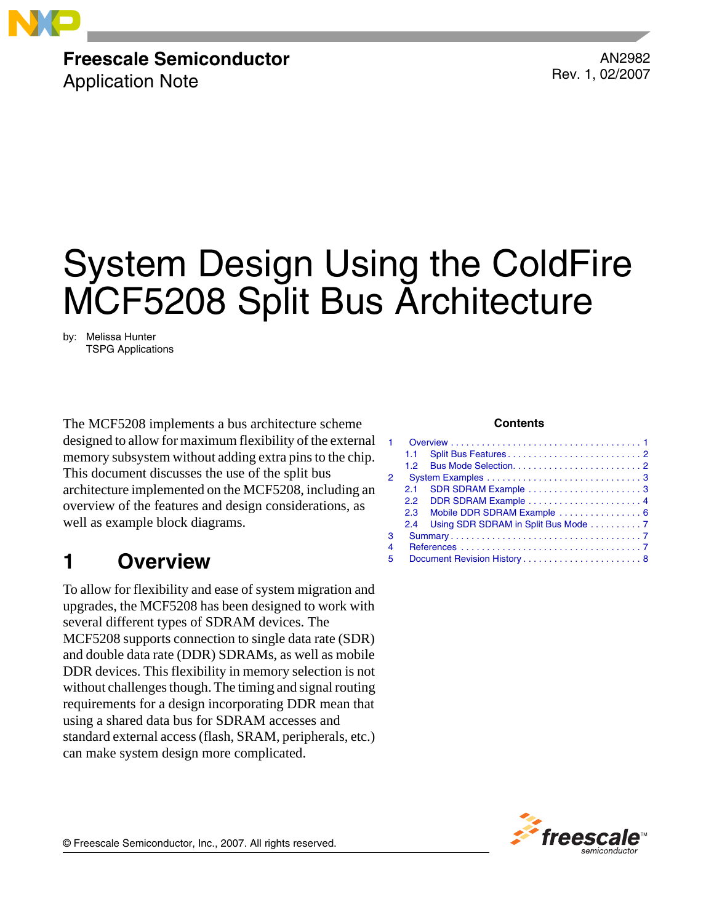

# **Freescale Semiconductor**

Application Note

 AN2982 Rev. 1, 02/2007

# System Design Using the ColdFire MCF5208 Split Bus Architecture

by: Melissa Hunter TSPG Applications

The MCF5208 implements a bus architecture scheme designed to allow for maximum flexibility of the external memory subsystem without adding extra pins to the chip. This document discusses the use of the split bus architecture implemented on the MCF5208, including an overview of the features and design considerations, as well as example block diagrams.

# <span id="page-0-0"></span>**1 Overview**

To allow for flexibility and ease of system migration and upgrades, the MCF5208 has been designed to work with several different types of SDRAM devices. The MCF5208 supports connection to single data rate (SDR) and double data rate (DDR) SDRAMs, as well as mobile DDR devices. This flexibility in memory selection is not without challenges though. The timing and signal routing requirements for a design incorporating DDR mean that using a shared data bus for SDRAM accesses and standard external access (flash, SRAM, peripherals, etc.) can make system design more complicated.

### **Contents**

|   | 1.1 |                                     |  |  |
|---|-----|-------------------------------------|--|--|
|   | 12  |                                     |  |  |
| 2 |     |                                     |  |  |
|   | 21  | SDR SDRAM Example 3                 |  |  |
|   |     | 2.2 DDR SDRAM Example  4            |  |  |
|   | 2.3 | Mobile DDR SDRAM Example  6         |  |  |
|   | 2.4 | Using SDR SDRAM in Split Bus Mode 7 |  |  |
| 3 |     |                                     |  |  |
| 4 |     |                                     |  |  |
| 5 |     |                                     |  |  |
|   |     |                                     |  |  |



© Freescale Semiconductor, Inc., 2007. All rights reserved.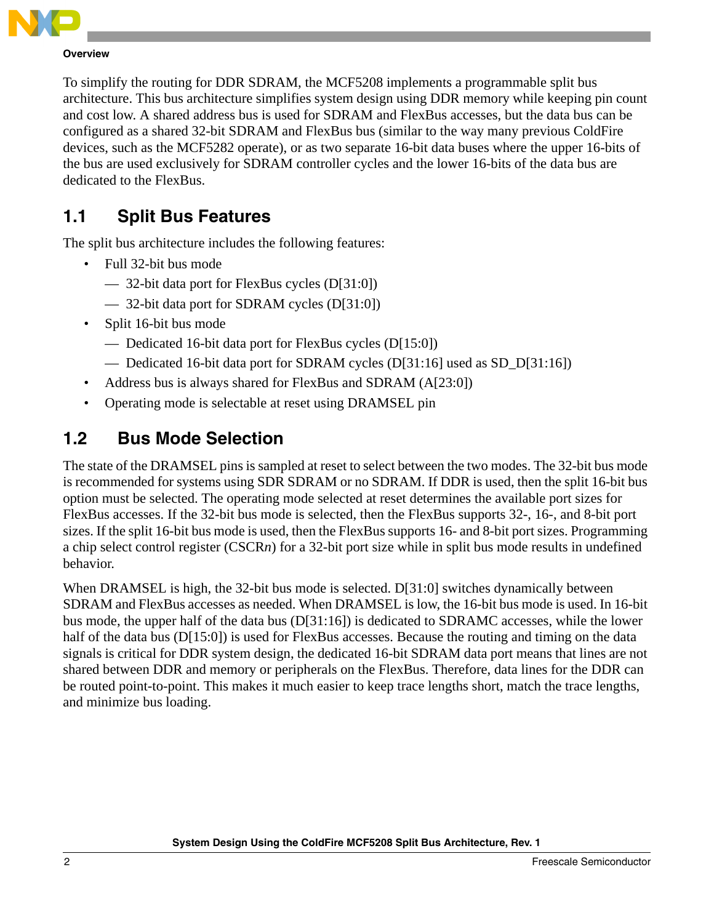

#### **Overview**

To simplify the routing for DDR SDRAM, the MCF5208 implements a programmable split bus architecture. This bus architecture simplifies system design using DDR memory while keeping pin count and cost low. A shared address bus is used for SDRAM and FlexBus accesses, but the data bus can be configured as a shared 32-bit SDRAM and FlexBus bus (similar to the way many previous ColdFire devices, such as the MCF5282 operate), or as two separate 16-bit data buses where the upper 16-bits of the bus are used exclusively for SDRAM controller cycles and the lower 16-bits of the data bus are dedicated to the FlexBus.

### <span id="page-1-0"></span>**1.1 Split Bus Features**

The split bus architecture includes the following features:

- Full 32-bit bus mode
	- 32-bit data port for FlexBus cycles (D[31:0])
	- 32-bit data port for SDRAM cycles (D[31:0])
- Split 16-bit bus mode
	- Dedicated 16-bit data port for FlexBus cycles (D[15:0])
	- Dedicated 16-bit data port for SDRAM cycles (D[31:16] used as SD\_D[31:16])
- Address bus is always shared for FlexBus and SDRAM (A[23:0])
- Operating mode is selectable at reset using DRAMSEL pin

### <span id="page-1-1"></span>**1.2 Bus Mode Selection**

The state of the DRAMSEL pins is sampled at reset to select between the two modes. The 32-bit bus mode is recommended for systems using SDR SDRAM or no SDRAM. If DDR is used, then the split 16-bit bus option must be selected. The operating mode selected at reset determines the available port sizes for FlexBus accesses. If the 32-bit bus mode is selected, then the FlexBus supports 32-, 16-, and 8-bit port sizes. If the split 16-bit bus mode is used, then the FlexBus supports 16- and 8-bit port sizes. Programming a chip select control register (CSCR*n*) for a 32-bit port size while in split bus mode results in undefined behavior.

When DRAMSEL is high, the 32-bit bus mode is selected. D[31:0] switches dynamically between SDRAM and FlexBus accesses as needed. When DRAMSEL is low, the 16-bit bus mode is used. In 16-bit bus mode, the upper half of the data bus (D[31:16]) is dedicated to SDRAMC accesses, while the lower half of the data bus (D[15:0]) is used for FlexBus accesses. Because the routing and timing on the data signals is critical for DDR system design, the dedicated 16-bit SDRAM data port means that lines are not shared between DDR and memory or peripherals on the FlexBus. Therefore, data lines for the DDR can be routed point-to-point. This makes it much easier to keep trace lengths short, match the trace lengths, and minimize bus loading.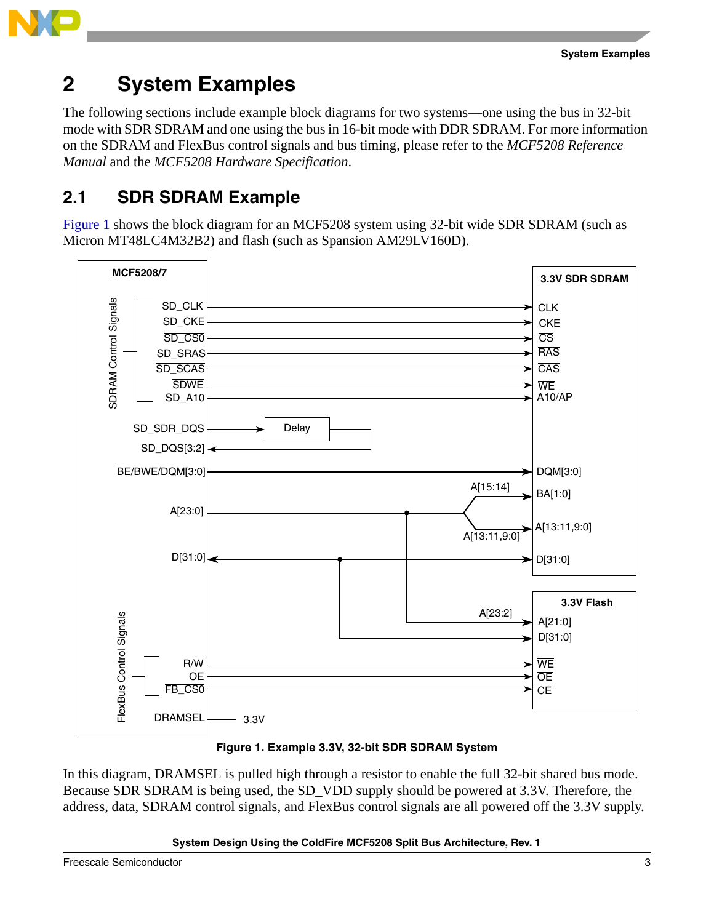

## <span id="page-2-0"></span>**2 System Examples**

The following sections include example block diagrams for two systems—one using the bus in 32-bit mode with SDR SDRAM and one using the bus in 16-bit mode with DDR SDRAM. For more information on the SDRAM and FlexBus control signals and bus timing, please refer to the *MCF5208 Reference Manual* and the *MCF5208 Hardware Specification*.

### <span id="page-2-1"></span>**2.1 SDR SDRAM Example**

[Figure 1](#page-2-2) shows the block diagram for an MCF5208 system using 32-bit wide SDR SDRAM (such as Micron MT48LC4M32B2) and flash (such as Spansion AM29LV160D).



**Figure 1. Example 3.3V, 32-bit SDR SDRAM System**

<span id="page-2-2"></span>In this diagram, DRAMSEL is pulled high through a resistor to enable the full 32-bit shared bus mode. Because SDR SDRAM is being used, the SD\_VDD supply should be powered at 3.3V. Therefore, the address, data, SDRAM control signals, and FlexBus control signals are all powered off the 3.3V supply.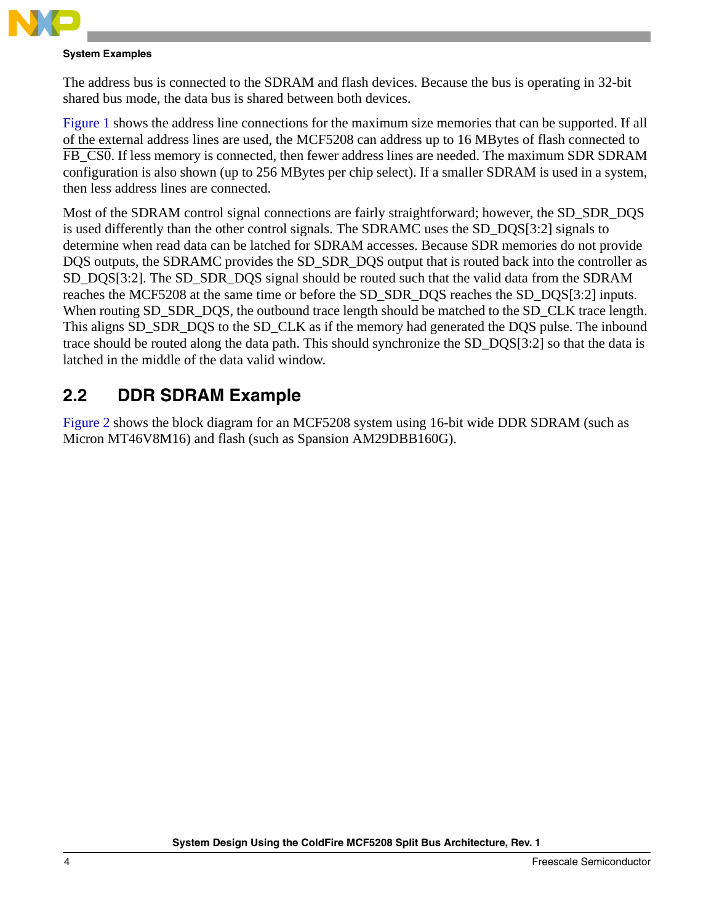

### **System Examples**

The address bus is connected to the SDRAM and flash devices. Because the bus is operating in 32-bit shared bus mode, the data bus is shared between both devices.

[Figure 1](#page-2-2) shows the address line connections for the maximum size memories that can be supported. If all of the external address lines are used, the MCF5208 can address up to 16 MBytes of flash connected to FB CS0. If less memory is connected, then fewer address lines are needed. The maximum SDR SDRAM configuration is also shown (up to 256 MBytes per chip select). If a smaller SDRAM is used in a system, then less address lines are connected.

Most of the SDRAM control signal connections are fairly straightforward; however, the SD\_SDR\_DQS is used differently than the other control signals. The SDRAMC uses the SD\_DQS[3:2] signals to determine when read data can be latched for SDRAM accesses. Because SDR memories do not provide DQS outputs, the SDRAMC provides the SD\_SDR\_DQS output that is routed back into the controller as SD\_DQS[3:2]. The SD\_SDR\_DQS signal should be routed such that the valid data from the SDRAM reaches the MCF5208 at the same time or before the SD\_SDR\_DQS reaches the SD\_DQS[3:2] inputs. When routing SD\_SDR\_DQS, the outbound trace length should be matched to the SD\_CLK trace length. This aligns SD\_SDR\_DQS to the SD\_CLK as if the memory had generated the DQS pulse. The inbound trace should be routed along the data path. This should synchronize the SD\_DQS[3:2] so that the data is latched in the middle of the data valid window.

### <span id="page-3-0"></span>**2.2 DDR SDRAM Example**

[Figure 2](#page-4-0) shows the block diagram for an MCF5208 system using 16-bit wide DDR SDRAM (such as Micron MT46V8M16) and flash (such as Spansion AM29DBB160G).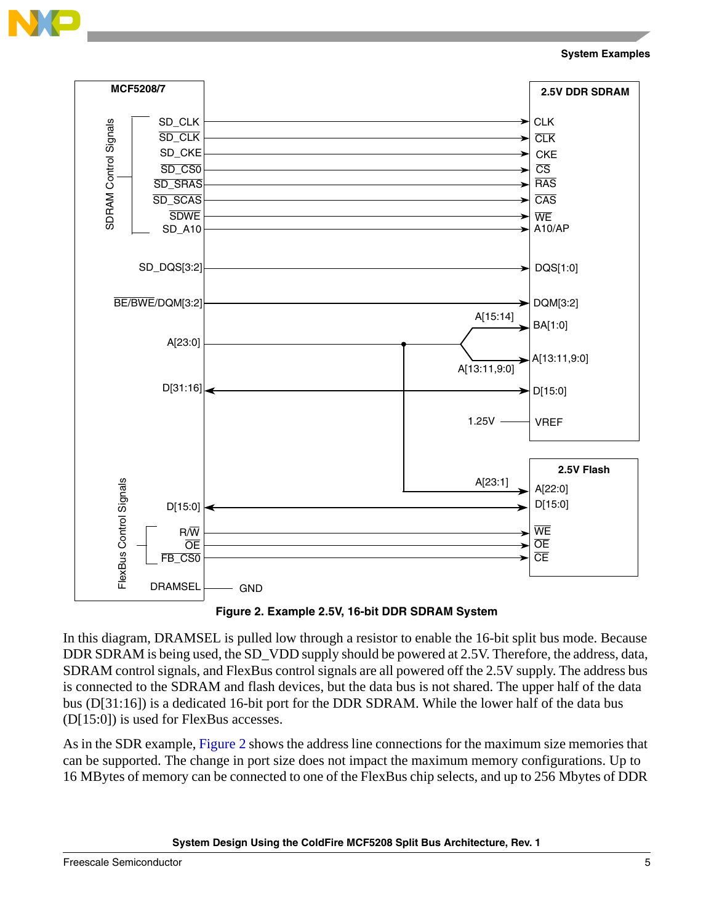

**System Examples**



**Figure 2. Example 2.5V, 16-bit DDR SDRAM System**

<span id="page-4-0"></span>In this diagram, DRAMSEL is pulled low through a resistor to enable the 16-bit split bus mode. Because DDR SDRAM is being used, the SD VDD supply should be powered at 2.5V. Therefore, the address, data, SDRAM control signals, and FlexBus control signals are all powered off the 2.5V supply. The address bus is connected to the SDRAM and flash devices, but the data bus is not shared. The upper half of the data bus (D[31:16]) is a dedicated 16-bit port for the DDR SDRAM. While the lower half of the data bus (D[15:0]) is used for FlexBus accesses.

As in the SDR example, [Figure 2](#page-4-0) shows the address line connections for the maximum size memories that can be supported. The change in port size does not impact the maximum memory configurations. Up to 16 MBytes of memory can be connected to one of the FlexBus chip selects, and up to 256 Mbytes of DDR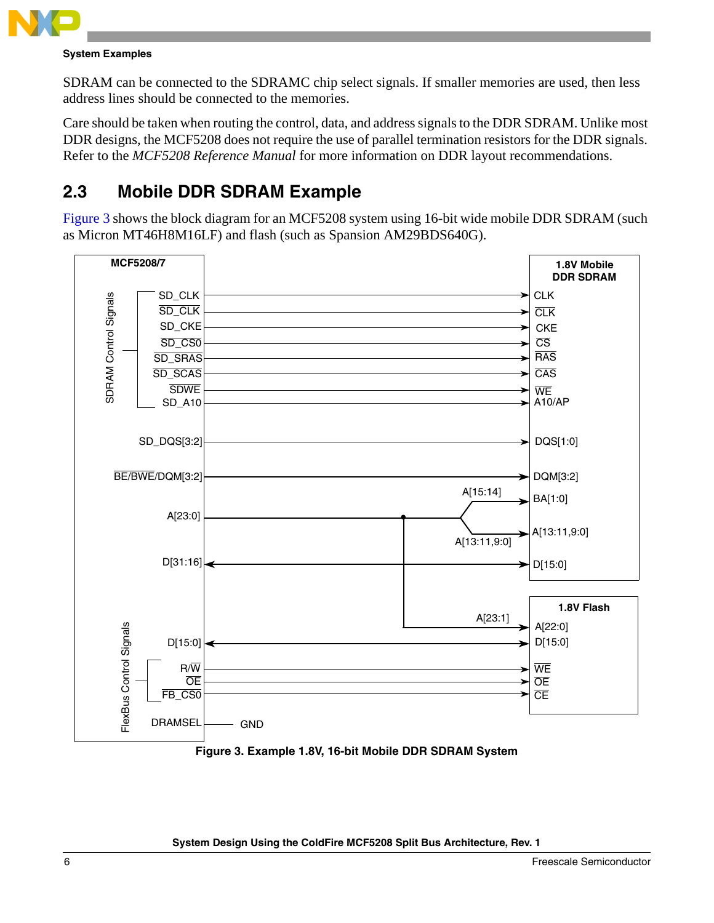

### **System Examples**

SDRAM can be connected to the SDRAMC chip select signals. If smaller memories are used, then less address lines should be connected to the memories.

Care should be taken when routing the control, data, and address signals to the DDR SDRAM. Unlike most DDR designs, the MCF5208 does not require the use of parallel termination resistors for the DDR signals. Refer to the *MCF5208 Reference Manual* for more information on DDR layout recommendations.

### <span id="page-5-0"></span>**2.3 Mobile DDR SDRAM Example**

[Figure 3](#page-5-1) shows the block diagram for an MCF5208 system using 16-bit wide mobile DDR SDRAM (such as Micron MT46H8M16LF) and flash (such as Spansion AM29BDS640G).



<span id="page-5-1"></span>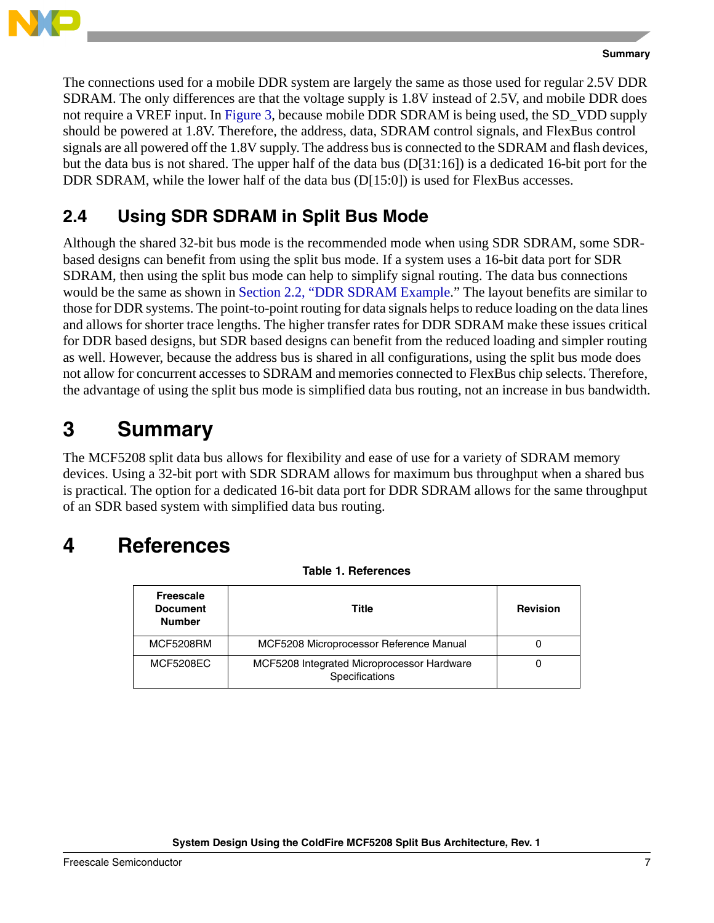

The connections used for a mobile DDR system are largely the same as those used for regular 2.5V DDR SDRAM. The only differences are that the voltage supply is 1.8V instead of 2.5V, and mobile DDR does not require a VREF input. In [Figure 3](#page-5-1), because mobile DDR SDRAM is being used, the SD\_VDD supply should be powered at 1.8V. Therefore, the address, data, SDRAM control signals, and FlexBus control signals are all powered off the 1.8V supply. The address bus is connected to the SDRAM and flash devices, but the data bus is not shared. The upper half of the data bus (D[31:16]) is a dedicated 16-bit port for the DDR SDRAM, while the lower half of the data bus (D[15:0]) is used for FlexBus accesses.

### <span id="page-6-0"></span>**2.4 Using SDR SDRAM in Split Bus Mode**

Although the shared 32-bit bus mode is the recommended mode when using SDR SDRAM, some SDRbased designs can benefit from using the split bus mode. If a system uses a 16-bit data port for SDR SDRAM, then using the split bus mode can help to simplify signal routing. The data bus connections would be the same as shown in [Section 2.2, "DDR SDRAM Example](#page-3-0)." The layout benefits are similar to those for DDR systems. The point-to-point routing for data signals helps to reduce loading on the data lines and allows for shorter trace lengths. The higher transfer rates for DDR SDRAM make these issues critical for DDR based designs, but SDR based designs can benefit from the reduced loading and simpler routing as well. However, because the address bus is shared in all configurations, using the split bus mode does not allow for concurrent accesses to SDRAM and memories connected to FlexBus chip selects. Therefore, the advantage of using the split bus mode is simplified data bus routing, not an increase in bus bandwidth.

# <span id="page-6-1"></span>**3 Summary**

The MCF5208 split data bus allows for flexibility and ease of use for a variety of SDRAM memory devices. Using a 32-bit port with SDR SDRAM allows for maximum bus throughput when a shared bus is practical. The option for a dedicated 16-bit data port for DDR SDRAM allows for the same throughput of an SDR based system with simplified data bus routing.

# <span id="page-6-2"></span>**4 References**

| <b>Freescale</b><br><b>Document</b><br><b>Number</b> | Title                                                        | <b>Revision</b> |
|------------------------------------------------------|--------------------------------------------------------------|-----------------|
| <b>MCF5208RM</b>                                     | MCF5208 Microprocessor Reference Manual                      |                 |
| <b>MCF5208EC</b>                                     | MCF5208 Integrated Microprocessor Hardware<br>Specifications |                 |

### **Table 1. References**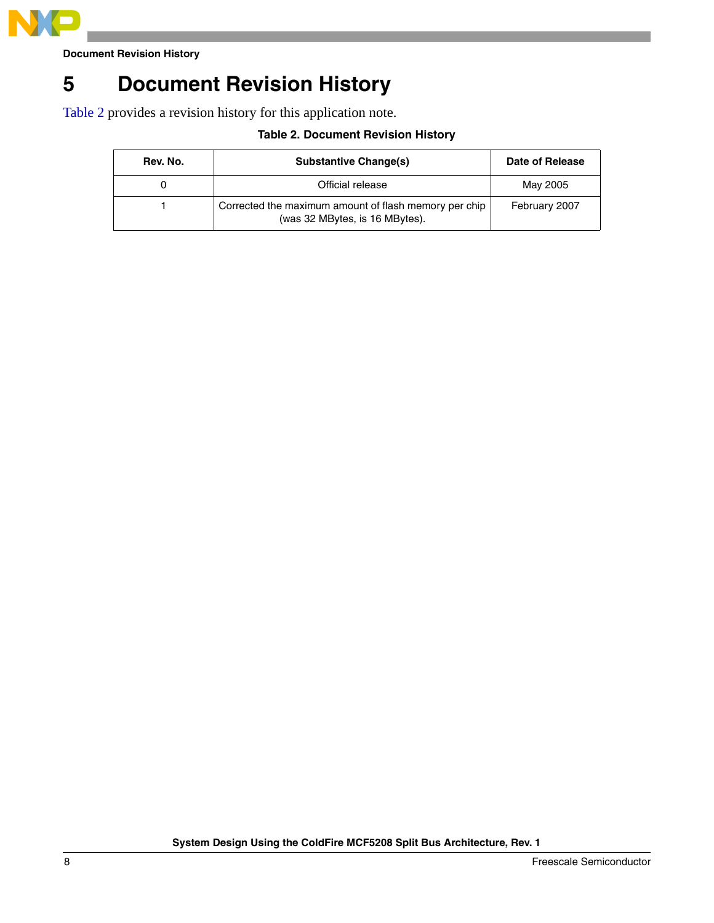

**Document Revision History**

# <span id="page-7-0"></span>**5 Document Revision History**

<span id="page-7-1"></span>[Table 2](#page-7-1) provides a revision history for this application note.

### **Table 2. Document Revision History**

| Rev. No. | <b>Substantive Change(s)</b>                                                            | Date of Release |
|----------|-----------------------------------------------------------------------------------------|-----------------|
|          | Official release                                                                        | May 2005        |
|          | Corrected the maximum amount of flash memory per chip<br>(was 32 MBytes, is 16 MBytes). | February 2007   |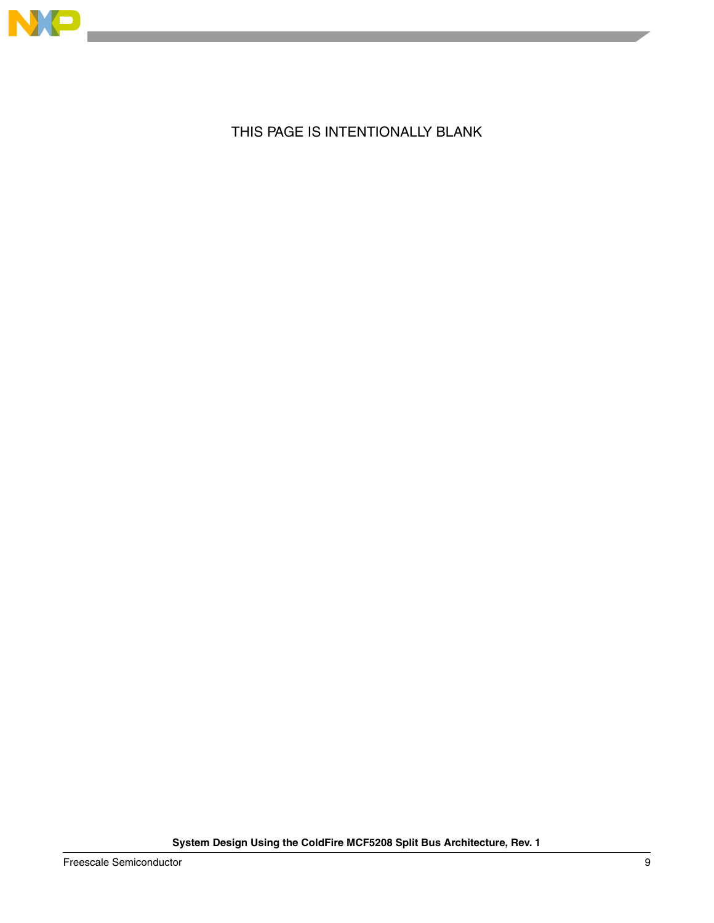

THIS PAGE IS INTENTIONALLY BLANK